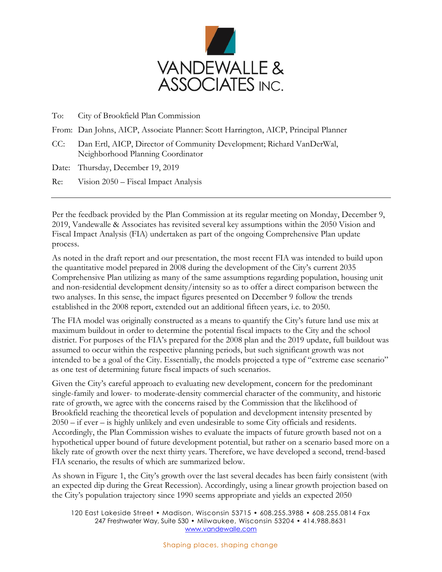

To: City of Brookfield Plan Commission

- From: Dan Johns, AICP, Associate Planner: Scott Harrington, AICP, Principal Planner
- CC: Dan Ertl, AICP, Director of Community Development; Richard VanDerWal, Neighborhood Planning Coordinator

Date: Thursday, December 19, 2019

Re: Vision 2050 – Fiscal Impact Analysis

Per the feedback provided by the Plan Commission at its regular meeting on Monday, December 9, 2019, Vandewalle & Associates has revisited several key assumptions within the 2050 Vision and Fiscal Impact Analysis (FIA) undertaken as part of the ongoing Comprehensive Plan update process.

As noted in the draft report and our presentation, the most recent FIA was intended to build upon the quantitative model prepared in 2008 during the development of the City's current 2035 Comprehensive Plan utilizing as many of the same assumptions regarding population, housing unit and non-residential development density/intensity so as to offer a direct comparison between the two analyses. In this sense, the impact figures presented on December 9 follow the trends established in the 2008 report, extended out an additional fifteen years, i.e. to 2050.

The FIA model was originally constructed as a means to quantify the City's future land use mix at maximum buildout in order to determine the potential fiscal impacts to the City and the school district. For purposes of the FIA's prepared for the 2008 plan and the 2019 update, full buildout was assumed to occur within the respective planning periods, but such significant growth was not intended to be a goal of the City. Essentially, the models projected a type of "extreme case scenario" as one test of determining future fiscal impacts of such scenarios.

Given the City's careful approach to evaluating new development, concern for the predominant single-family and lower- to moderate-density commercial character of the community, and historic rate of growth, we agree with the concerns raised by the Commission that the likelihood of Brookfield reaching the theoretical levels of population and development intensity presented by 2050 – if ever – is highly unlikely and even undesirable to some City officials and residents. Accordingly, the Plan Commission wishes to evaluate the impacts of future growth based not on a hypothetical upper bound of future development potential, but rather on a scenario based more on a likely rate of growth over the next thirty years. Therefore, we have developed a second, trend-based FIA scenario, the results of which are summarized below.

As shown in Figure 1, the City's growth over the last several decades has been fairly consistent (with an expected dip during the Great Recession). Accordingly, using a linear growth projection based on the City's population trajectory since 1990 seems appropriate and yields an expected 2050

120 East Lakeside Street • Madison, Wisconsin 53715 • 608.255.3988 • 608.255.0814 Fax 247 Freshwater Way, Suite 530 • Milwaukee, Wisconsin 53204 • 414.988.8631 [www.vandewalle.com](http://www.vandewalle.com/)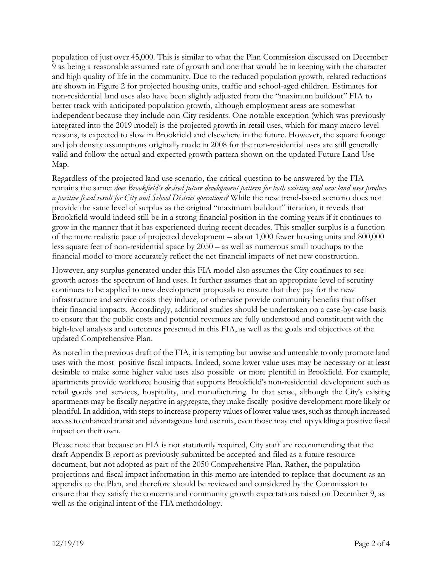population of just over 45,000. This is similar to what the Plan Commission discussed on December 9 as being a reasonable assumed rate of growth and one that would be in keeping with the character and high quality of life in the community. Due to the reduced population growth, related reductions are shown in Figure 2 for projected housing units, traffic and school-aged children. Estimates for non-residential land uses also have been slightly adjusted from the "maximum buildout" FIA to better track with anticipated population growth, although employment areas are somewhat independent because they include non-City residents. One notable exception (which was previously integrated into the 2019 model) is the projected growth in retail uses, which for many macro-level reasons, is expected to slow in Brookfield and elsewhere in the future. However, the square footage and job density assumptions originally made in 2008 for the non-residential uses are still generally valid and follow the actual and expected growth pattern shown on the updated Future Land Use Map.

Regardless of the projected land use scenario, the critical question to be answered by the FIA remains the same: *does Brookfield's desired future development pattern for both existing and new land uses produce a positive fiscal result for City and School District operations?* While the new trend-based scenario does not provide the same level of surplus as the original "maximum buildout" iteration, it reveals that Brookfield would indeed still be in a strong financial position in the coming years if it continues to grow in the manner that it has experienced during recent decades. This smaller surplus is a function of the more realistic pace of projected development – about 1,000 fewer housing units and 800,000 less square feet of non-residential space by 2050 – as well as numerous small touchups to the financial model to more accurately reflect the net financial impacts of net new construction.

However, any surplus generated under this FIA model also assumes the City continues to see growth across the spectrum of land uses. It further assumes that an appropriate level of scrutiny continues to be applied to new development proposals to ensure that they pay for the new infrastructure and service costs they induce, or otherwise provide community benefits that offset their financial impacts. Accordingly, additional studies should be undertaken on a case-by-case basis to ensure that the public costs and potential revenues are fully understood and constituent with the high-level analysis and outcomes presented in this FIA, as well as the goals and objectives of the updated Comprehensive Plan.

As noted in the previous draft of the FIA, it is tempting but unwise and untenable to only promote land uses with the most positive fiscal impacts. Indeed, some lower value uses may be necessary or at least desirable to make some higher value uses also possible or more plentiful in Brookfield. For example, apartments provide workforce housing that supports Brookfield's non-residential development such as retail goods and services, hospitality, and manufacturing. In that sense, although the City's existing apartments may be fiscally negative in aggregate, they make fiscally positive development more likely or plentiful. In addition, with steps to increase property values of lower value uses, such as through increased access to enhanced transit and advantageous land use mix, even those may end up yielding a positive fiscal impact on their own.

Please note that because an FIA is not statutorily required, City staff are recommending that the draft Appendix B report as previously submitted be accepted and filed as a future resource document, but not adopted as part of the 2050 Comprehensive Plan. Rather, the population projections and fiscal impact information in this memo are intended to replace that document as an appendix to the Plan, and therefore should be reviewed and considered by the Commission to ensure that they satisfy the concerns and community growth expectations raised on December 9, as well as the original intent of the FIA methodology.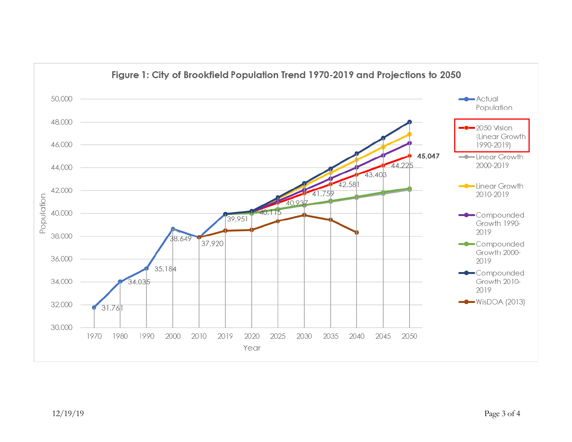